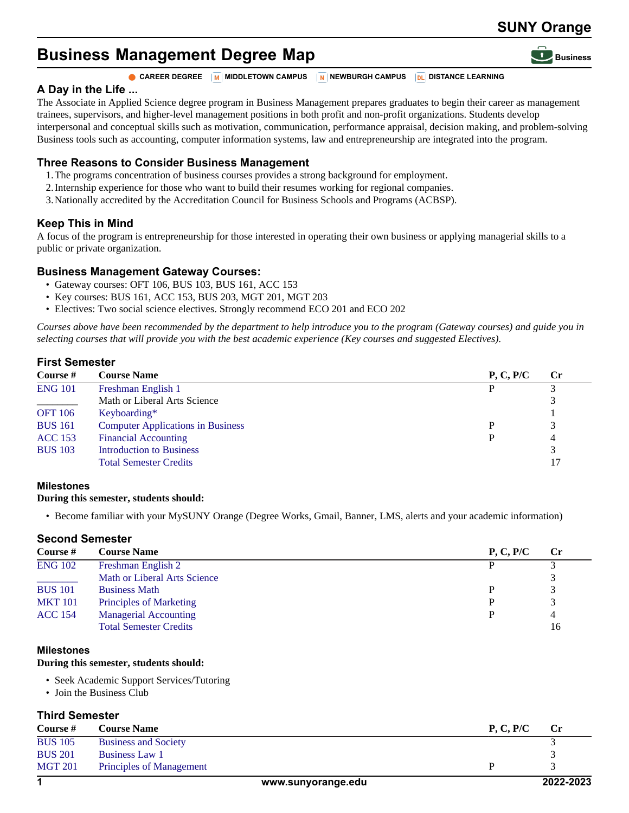# **SUNY Orange**

# **Business Management Degree Map**

#### **CAREER DEGREE M** MIDDLETOWN CAMPUS **NEWBURGH CAMPUS DE DISTANCE LEARNING**

## **A Day in the Life ...**

The Associate in Applied Science degree program in Business Management prepares graduates to begin their career as management trainees, supervisors, and higher-level management positions in both profit and non-profit organizations. Students develop interpersonal and conceptual skills such as motivation, communication, performance appraisal, decision making, and problem-solving Business tools such as accounting, computer information systems, law and entrepreneurship are integrated into the program.

## **Three Reasons to Consider Business Management**

- 1.The programs concentration of business courses provides a strong background for employment.
- 2.Internship experience for those who want to build their resumes working for regional companies.
- 3.Nationally accredited by the Accreditation Council for Business Schools and Programs (ACBSP).

# **Keep This in Mind**

A focus of the program is entrepreneurship for those interested in operating their own business or applying managerial skills to a public or private organization.

#### **Business Management Gateway Courses:**

- Gateway courses: OFT 106, BUS 103, BUS 161, ACC 153
- Key courses: BUS 161, ACC 153, BUS 203, MGT 201, MGT 203
- Electives: Two social science electives. Strongly recommend ECO 201 and ECO 202

*Courses above have been recommended by the department to help introduce you to the program (Gateway courses) and guide you in selecting courses that will provide you with the best academic experience (Key courses and suggested Electives).*

## **First Semester**

| Course #       | <b>Course Name</b>                       | P, C, P/C | $\bf Cr$ |
|----------------|------------------------------------------|-----------|----------|
| <b>ENG 101</b> | Freshman English 1                       |           |          |
|                | Math or Liberal Arts Science             |           |          |
| <b>OFT 106</b> | Keyboarding*                             |           |          |
| <b>BUS 161</b> | <b>Computer Applications in Business</b> |           |          |
| <b>ACC</b> 153 | <b>Financial Accounting</b>              |           | 4        |
| <b>BUS 103</b> | <b>Introduction to Business</b>          |           |          |
|                | <b>Total Semester Credits</b>            |           | 17       |

### **Milestones**

#### **During this semester, students should:**

• Become familiar with your MySUNY Orange (Degree Works, Gmail, Banner, LMS, alerts and your academic information)

### **Second Semester**

| Course #       | <b>Course Name</b>                  | P, C, P/C | <b>Cr</b> |
|----------------|-------------------------------------|-----------|-----------|
| <b>ENG 102</b> | Freshman English 2                  |           |           |
|                | <b>Math or Liberal Arts Science</b> |           | 3         |
| <b>BUS</b> 101 | <b>Business Math</b>                |           | 3         |
| <b>MKT 101</b> | Principles of Marketing             |           | 3         |
| <b>ACC 154</b> | <b>Managerial Accounting</b>        |           | 4         |
|                | <b>Total Semester Credits</b>       |           | 16        |

#### **Milestones**

#### **During this semester, students should:**

- Seek Academic Support Services/Tutoring
- Join the Business Club

## **Third Semester**

| Course $#$     | <b>Course Name</b>              | P, C, P/C | $\bf Cr$ |
|----------------|---------------------------------|-----------|----------|
| <b>BUS 105</b> | <b>Business and Society</b>     |           |          |
| <b>BUS 201</b> | Business Law 1                  |           |          |
| <b>MGT 201</b> | <b>Principles of Management</b> |           |          |
|                |                                 |           |          |